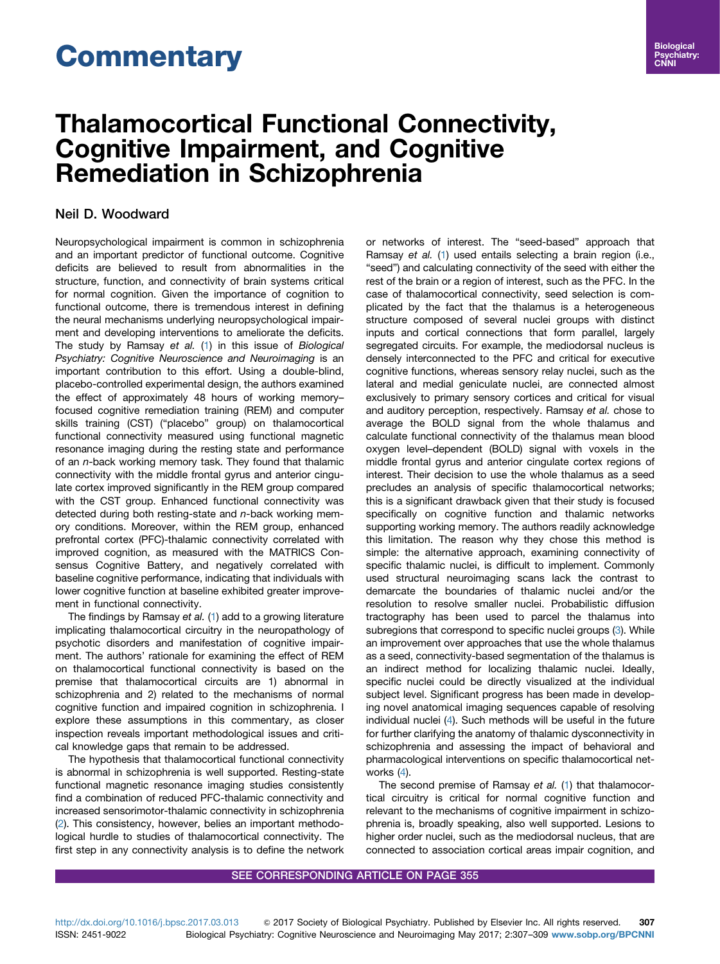# **Commentary**

## Thalamocortical Functional Connectivity, Cognitive Impairment, and Cognitive Remediation in Schizophrenia

### Neil D. Woodward

Neuropsychological impairment is common in schizophrenia and an important predictor of functional outcome. Cognitive deficits are believed to result from abnormalities in the structure, function, and connectivity of brain systems critical for normal cognition. Given the importance of cognition to functional outcome, there is tremendous interest in defining the neural mechanisms underlying neuropsychological impairment and developing interventions to ameliorate the deficits. The study by Ramsay et al. ([1](#page-1-0)) in this issue of Biological Psychiatry: Cognitive Neuroscience and Neuroimaging is an important contribution to this effort. Using a double-blind, placebo-controlled experimental design, the authors examined the effect of approximately 48 hours of working memory– focused cognitive remediation training (REM) and computer skills training (CST) ("placebo" group) on thalamocortical functional connectivity measured using functional magnetic resonance imaging during the resting state and performance of an n-back working memory task. They found that thalamic connectivity with the middle frontal gyrus and anterior cingulate cortex improved significantly in the REM group compared with the CST group. Enhanced functional connectivity was detected during both resting-state and  $n$ -back working memory conditions. Moreover, within the REM group, enhanced prefrontal cortex (PFC)-thalamic connectivity correlated with improved cognition, as measured with the MATRICS Consensus Cognitive Battery, and negatively correlated with baseline cognitive performance, indicating that individuals with lower cognitive function at baseline exhibited greater improvement in functional connectivity.

The findings by Ramsay et al. [\(1\)](#page-1-0) add to a growing literature implicating thalamocortical circuitry in the neuropathology of psychotic disorders and manifestation of cognitive impairment. The authors' rationale for examining the effect of REM on thalamocortical functional connectivity is based on the premise that thalamocortical circuits are 1) abnormal in schizophrenia and 2) related to the mechanisms of normal cognitive function and impaired cognition in schizophrenia. I explore these assumptions in this commentary, as closer inspection reveals important methodological issues and critical knowledge gaps that remain to be addressed.

The hypothesis that thalamocortical functional connectivity is abnormal in schizophrenia is well supported. Resting-state functional magnetic resonance imaging studies consistently find a combination of reduced PFC-thalamic connectivity and increased sensorimotor-thalamic connectivity in schizophrenia [\(2\)](#page-1-0). This consistency, however, belies an important methodological hurdle to studies of thalamocortical connectivity. The first step in any connectivity analysis is to define the network **Biological** Psychiatry: CNNI

or networks of interest. The "seed-based" approach that Ramsay et al. ([1\)](#page-1-0) used entails selecting a brain region (i.e., "seed") and calculating connectivity of the seed with either the rest of the brain or a region of interest, such as the PFC. In the case of thalamocortical connectivity, seed selection is complicated by the fact that the thalamus is a heterogeneous structure composed of several nuclei groups with distinct inputs and cortical connections that form parallel, largely segregated circuits. For example, the mediodorsal nucleus is densely interconnected to the PFC and critical for executive cognitive functions, whereas sensory relay nuclei, such as the lateral and medial geniculate nuclei, are connected almost exclusively to primary sensory cortices and critical for visual and auditory perception, respectively. Ramsay et al. chose to average the BOLD signal from the whole thalamus and calculate functional connectivity of the thalamus mean blood oxygen level–dependent (BOLD) signal with voxels in the middle frontal gyrus and anterior cingulate cortex regions of interest. Their decision to use the whole thalamus as a seed precludes an analysis of specific thalamocortical networks; this is a significant drawback given that their study is focused specifically on cognitive function and thalamic networks supporting working memory. The authors readily acknowledge this limitation. The reason why they chose this method is simple: the alternative approach, examining connectivity of specific thalamic nuclei, is difficult to implement. Commonly used structural neuroimaging scans lack the contrast to demarcate the boundaries of thalamic nuclei and/or the resolution to resolve smaller nuclei. Probabilistic diffusion tractography has been used to parcel the thalamus into subregions that correspond to specific nuclei groups ([3\)](#page-1-0). While an improvement over approaches that use the whole thalamus as a seed, connectivity-based segmentation of the thalamus is an indirect method for localizing thalamic nuclei. Ideally, specific nuclei could be directly visualized at the individual subject level. Significant progress has been made in developing novel anatomical imaging sequences capable of resolving individual nuclei [\(4\)](#page-1-0). Such methods will be useful in the future for further clarifying the anatomy of thalamic dysconnectivity in schizophrenia and assessing the impact of behavioral and pharmacological interventions on specific thalamocortical networks [\(4\)](#page-1-0).

The second premise of Ramsay et al. [\(1](#page-1-0)) that thalamocortical circuitry is critical for normal cognitive function and relevant to the mechanisms of cognitive impairment in schizophrenia is, broadly speaking, also well supported. Lesions to higher order nuclei, such as the mediodorsal nucleus, that are connected to association cortical areas impair cognition, and

#### SEE CORRESPONDING ARTICLE ON PAGE 355

<http://dx.doi.org/10.1016/j.bpsc.2017.03.013>  $\otimes$  2017 Society of Biological Psychiatry. Published by Elsevier Inc. All rights reserved. 307 ISSN: 2451-9022 Biological Psychiatry: Cognitive Neuroscience and Neuroimaging May 2017; 2:307–309 [www.sobp.org/BPCNNI](www.sobp.org/journal)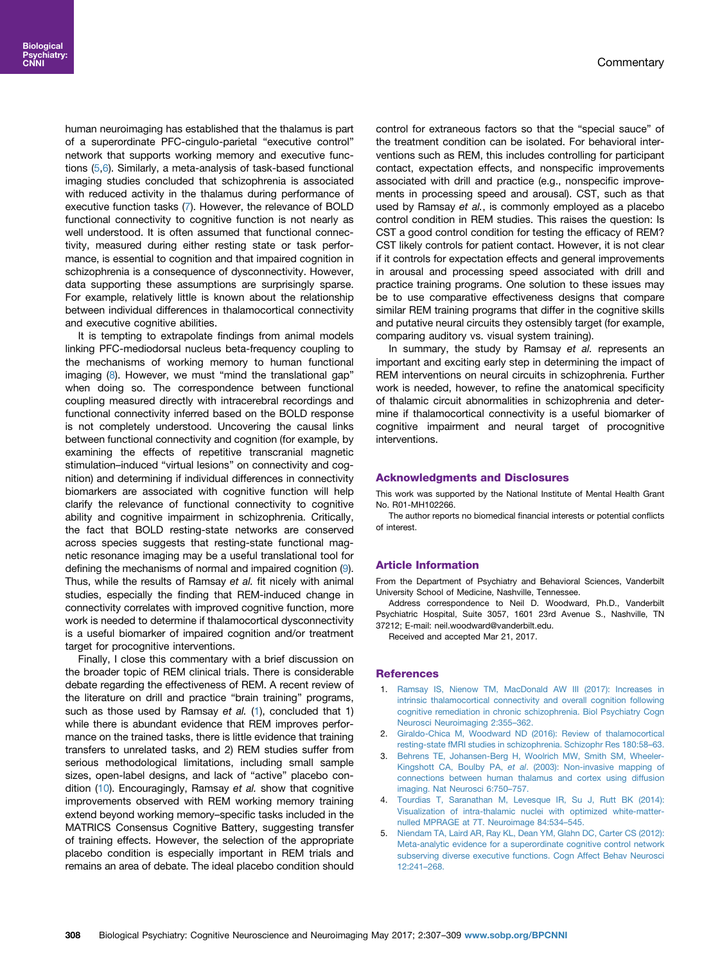<span id="page-1-0"></span>human neuroimaging has established that the thalamus is part of a superordinate PFC-cingulo-parietal "executive control" network that supports working memory and executive functions (5[,6](#page-2-0)). Similarly, a meta-analysis of task-based functional imaging studies concluded that schizophrenia is associated with reduced activity in the thalamus during performance of executive function tasks [\(7\)](#page-2-0). However, the relevance of BOLD functional connectivity to cognitive function is not nearly as well understood. It is often assumed that functional connectivity, measured during either resting state or task performance, is essential to cognition and that impaired cognition in schizophrenia is a consequence of dysconnectivity. However, data supporting these assumptions are surprisingly sparse. For example, relatively little is known about the relationship between individual differences in thalamocortical connectivity and executive cognitive abilities.

It is tempting to extrapolate findings from animal models linking PFC-mediodorsal nucleus beta-frequency coupling to the mechanisms of working memory to human functional imaging ([8](#page-2-0)). However, we must "mind the translational gap" when doing so. The correspondence between functional coupling measured directly with intracerebral recordings and functional connectivity inferred based on the BOLD response is not completely understood. Uncovering the causal links between functional connectivity and cognition (for example, by examining the effects of repetitive transcranial magnetic stimulation–induced "virtual lesions" on connectivity and cognition) and determining if individual differences in connectivity biomarkers are associated with cognitive function will help clarify the relevance of functional connectivity to cognitive ability and cognitive impairment in schizophrenia. Critically, the fact that BOLD resting-state networks are conserved across species suggests that resting-state functional magnetic resonance imaging may be a useful translational tool for defining the mechanisms of normal and impaired cognition [\(9](#page-2-0)). Thus, while the results of Ramsay et al. fit nicely with animal studies, especially the finding that REM-induced change in connectivity correlates with improved cognitive function, more work is needed to determine if thalamocortical dysconnectivity is a useful biomarker of impaired cognition and/or treatment target for procognitive interventions.

Finally, I close this commentary with a brief discussion on the broader topic of REM clinical trials. There is considerable debate regarding the effectiveness of REM. A recent review of the literature on drill and practice "brain training" programs, such as those used by Ramsay et al. (1), concluded that 1) while there is abundant evidence that REM improves performance on the trained tasks, there is little evidence that training transfers to unrelated tasks, and 2) REM studies suffer from serious methodological limitations, including small sample sizes, open-label designs, and lack of "active" placebo con-dition [\(10\)](#page-2-0). Encouragingly, Ramsay et al. show that cognitive improvements observed with REM working memory training extend beyond working memory–specific tasks included in the MATRICS Consensus Cognitive Battery, suggesting transfer of training effects. However, the selection of the appropriate placebo condition is especially important in REM trials and remains an area of debate. The ideal placebo condition should control for extraneous factors so that the "special sauce" of the treatment condition can be isolated. For behavioral interventions such as REM, this includes controlling for participant contact, expectation effects, and nonspecific improvements associated with drill and practice (e.g., nonspecific improvements in processing speed and arousal). CST, such as that used by Ramsay et al., is commonly employed as a placebo control condition in REM studies. This raises the question: Is CST a good control condition for testing the efficacy of REM? CST likely controls for patient contact. However, it is not clear if it controls for expectation effects and general improvements in arousal and processing speed associated with drill and practice training programs. One solution to these issues may be to use comparative effectiveness designs that compare similar REM training programs that differ in the cognitive skills and putative neural circuits they ostensibly target (for example, comparing auditory vs. visual system training).

In summary, the study by Ramsay et al. represents an important and exciting early step in determining the impact of REM interventions on neural circuits in schizophrenia. Further work is needed, however, to refine the anatomical specificity of thalamic circuit abnormalities in schizophrenia and determine if thalamocortical connectivity is a useful biomarker of cognitive impairment and neural target of procognitive interventions.

#### Acknowledgments and Disclosures

This work was supported by the National Institute of Mental Health Grant No. R01-MH102266.

The author reports no biomedical financial interests or potential conflicts of interest.

#### Article Information

From the Department of Psychiatry and Behavioral Sciences, Vanderbilt University School of Medicine, Nashville, Tennessee.

Address correspondence to Neil D. Woodward, Ph.D., Vanderbilt Psychiatric Hospital, Suite 3057, 1601 23rd Avenue S., Nashville, TN 37212; E-mail: neil.woodward@vanderbilt.edu.

Received and accepted Mar 21, 2017.

#### **References**

- 1. [Ramsay IS, Nienow TM, MacDonald AW III \(2017\): Increases in](http://refhub.elsevier.com/S2451-9022(17)30064-2/sbref1) [intrinsic thalamocortical connectivity and overall cognition following](http://refhub.elsevier.com/S2451-9022(17)30064-2/sbref1) [cognitive remediation in chronic schizophrenia. Biol Psychiatry Cogn](http://refhub.elsevier.com/S2451-9022(17)30064-2/sbref1) [Neurosci Neuroimaging 2:355](http://refhub.elsevier.com/S2451-9022(17)30064-2/sbref1)–362.
- 2. [Giraldo-Chica M, Woodward ND \(2016\): Review of thalamocortical](http://refhub.elsevier.com/S2451-9022(17)30064-2/sbref2) [resting-state fMRI studies in schizophrenia. Schizophr Res 180:58](http://refhub.elsevier.com/S2451-9022(17)30064-2/sbref2)–63.
- 3. [Behrens TE, Johansen-Berg H, Woolrich MW, Smith SM, Wheeler-](http://refhub.elsevier.com/S2451-9022(17)30064-2/sbref3)Kingshott CA, Boulby PA, et al[. \(2003\): Non-invasive mapping of](http://refhub.elsevier.com/S2451-9022(17)30064-2/sbref3) [connections between human thalamus and cortex using diffusion](http://refhub.elsevier.com/S2451-9022(17)30064-2/sbref3) [imaging. Nat Neurosci 6:750](http://refhub.elsevier.com/S2451-9022(17)30064-2/sbref3)–757.
- 4. [Tourdias T, Saranathan M, Levesque IR, Su J, Rutt BK \(2014\):](http://refhub.elsevier.com/S2451-9022(17)30064-2/sbref4) [Visualization of intra-thalamic nuclei with optimized white-matter](http://refhub.elsevier.com/S2451-9022(17)30064-2/sbref4)[nulled MPRAGE at 7T. Neuroimage 84:534](http://refhub.elsevier.com/S2451-9022(17)30064-2/sbref4)–545.
- 5. [Niendam TA, Laird AR, Ray KL, Dean YM, Glahn DC, Carter CS \(2012\):](http://refhub.elsevier.com/S2451-9022(17)30064-2/sbref5) [Meta-analytic evidence for a superordinate cognitive control network](http://refhub.elsevier.com/S2451-9022(17)30064-2/sbref5) [subserving diverse executive functions. Cogn Affect Behav Neurosci](http://refhub.elsevier.com/S2451-9022(17)30064-2/sbref5) [12:241](http://refhub.elsevier.com/S2451-9022(17)30064-2/sbref5)–268.